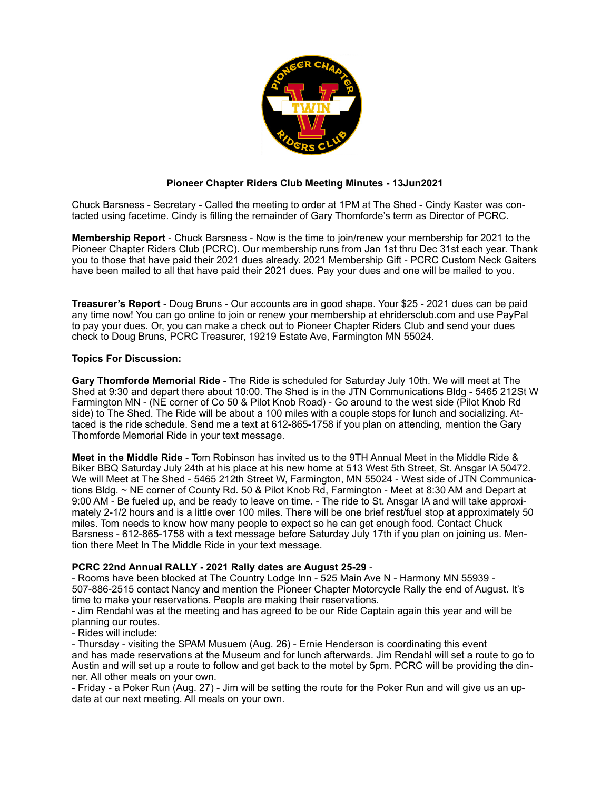

## **Pioneer Chapter Riders Club Meeting Minutes - 13Jun2021**

Chuck Barsness - Secretary - Called the meeting to order at 1PM at The Shed - Cindy Kaster was contacted using facetime. Cindy is filling the remainder of Gary Thomforde's term as Director of PCRC.

**Membership Report** - Chuck Barsness - Now is the time to join/renew your membership for 2021 to the Pioneer Chapter Riders Club (PCRC). Our membership runs from Jan 1st thru Dec 31st each year. Thank you to those that have paid their 2021 dues already. 2021 Membership Gift - PCRC Custom Neck Gaiters have been mailed to all that have paid their 2021 dues. Pay your dues and one will be mailed to you.

**Treasurer's Report** - Doug Bruns - Our accounts are in good shape. Your \$25 - 2021 dues can be paid any time now! You can go online to join or renew your membership at ehridersclub.com and use PayPal to pay your dues. Or, you can make a check out to Pioneer Chapter Riders Club and send your dues check to Doug Bruns, PCRC Treasurer, 19219 Estate Ave, Farmington MN 55024.

## **Topics For Discussion:**

**Gary Thomforde Memorial Ride** - The Ride is scheduled for Saturday July 10th. We will meet at The Shed at 9:30 and depart there about 10:00. The Shed is in the JTN Communications Bldg - 5465 212St W Farmington MN - (NE corner of Co 50 & Pilot Knob Road) - Go around to the west side (Pilot Knob Rd side) to The Shed. The Ride will be about a 100 miles with a couple stops for lunch and socializing. Attaced is the ride schedule. Send me a text at 612-865-1758 if you plan on attending, mention the Gary Thomforde Memorial Ride in your text message.

**Meet in the Middle Ride** - Tom Robinson has invited us to the 9TH Annual Meet in the Middle Ride & Biker BBQ Saturday July 24th at his place at his new home at 513 West 5th Street, St. Ansgar IA 50472. We will Meet at The Shed - 5465 212th Street W, Farmington, MN 55024 - West side of JTN Communications Bldg. ~ NE corner of County Rd. 50 & Pilot Knob Rd, Farmington - Meet at 8:30 AM and Depart at 9:00 AM - Be fueled up, and be ready to leave on time. - The ride to St. Ansgar IA and will take approximately 2-1/2 hours and is a little over 100 miles. There will be one brief rest/fuel stop at approximately 50 miles. Tom needs to know how many people to expect so he can get enough food. Contact Chuck Barsness - 612-865-1758 with a text message before Saturday July 17th if you plan on joining us. Mention there Meet In The Middle Ride in your text message.

## **PCRC 22nd Annual RALLY - 2021 Rally dates are August 25-29** -

- Rooms have been blocked at The Country Lodge Inn - 525 Main Ave N - Harmony MN 55939 - 507-886-2515 contact Nancy and mention the Pioneer Chapter Motorcycle Rally the end of August. It's time to make your reservations. People are making their reservations.

- Jim Rendahl was at the meeting and has agreed to be our Ride Captain again this year and will be planning our routes.

## - Rides will include:

- Thursday - visiting the SPAM Musuem (Aug. 26) - Ernie Henderson is coordinating this event and has made reservations at the Museum and for lunch afterwards. Jim Rendahl will set a route to go to Austin and will set up a route to follow and get back to the motel by 5pm. PCRC will be providing the dinner. All other meals on your own.

- Friday - a Poker Run (Aug. 27) - Jim will be setting the route for the Poker Run and will give us an update at our next meeting. All meals on your own.